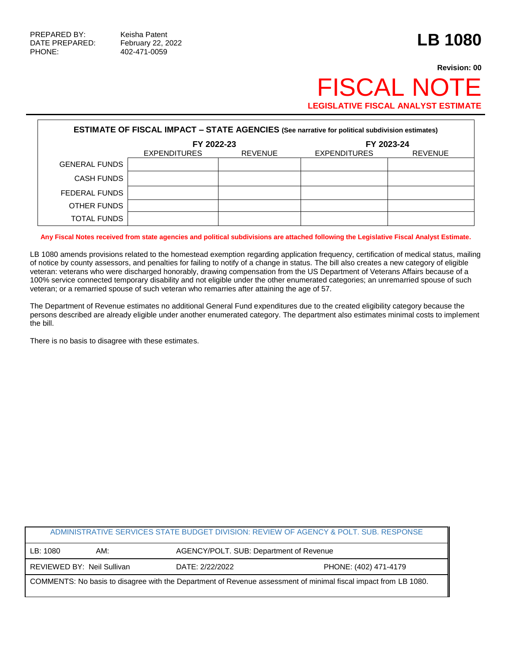PHONE: 402-471-0059

# **Revision: 00 FISCAL NOT LEGISLATIVE FISCAL ANALYST ESTIMATE**

| <b>ESTIMATE OF FISCAL IMPACT - STATE AGENCIES (See narrative for political subdivision estimates)</b> |                     |                |                     |                |  |  |
|-------------------------------------------------------------------------------------------------------|---------------------|----------------|---------------------|----------------|--|--|
|                                                                                                       | FY 2022-23          |                | FY 2023-24          |                |  |  |
|                                                                                                       | <b>EXPENDITURES</b> | <b>REVENUE</b> | <b>EXPENDITURES</b> | <b>REVENUE</b> |  |  |
| <b>GENERAL FUNDS</b>                                                                                  |                     |                |                     |                |  |  |
| <b>CASH FUNDS</b>                                                                                     |                     |                |                     |                |  |  |
| FEDERAL FUNDS                                                                                         |                     |                |                     |                |  |  |
| OTHER FUNDS                                                                                           |                     |                |                     |                |  |  |
| <b>TOTAL FUNDS</b>                                                                                    |                     |                |                     |                |  |  |

**Any Fiscal Notes received from state agencies and political subdivisions are attached following the Legislative Fiscal Analyst Estimate.**

LB 1080 amends provisions related to the homestead exemption regarding application frequency, certification of medical status, mailing of notice by county assessors, and penalties for failing to notify of a change in status. The bill also creates a new category of eligible veteran: veterans who were discharged honorably, drawing compensation from the US Department of Veterans Affairs because of a 100% service connected temporary disability and not eligible under the other enumerated categories; an unremarried spouse of such veteran; or a remarried spouse of such veteran who remarries after attaining the age of 57.

The Department of Revenue estimates no additional General Fund expenditures due to the created eligibility category because the persons described are already eligible under another enumerated category. The department also estimates minimal costs to implement the bill.

There is no basis to disagree with these estimates.

| ADMINISTRATIVE SERVICES STATE BUDGET DIVISION: REVIEW OF AGENCY & POLT. SUB. RESPONSE                           |     |                 |                                         |  |  |
|-----------------------------------------------------------------------------------------------------------------|-----|-----------------|-----------------------------------------|--|--|
| LB: 1080                                                                                                        | AM: |                 | AGENCY/POLT. SUB: Department of Revenue |  |  |
| REVIEWED BY: Neil Sullivan                                                                                      |     | DATE: 2/22/2022 | PHONE: (402) 471-4179                   |  |  |
| COMMENTS: No basis to disagree with the Department of Revenue assessment of minimal fiscal impact from LB 1080. |     |                 |                                         |  |  |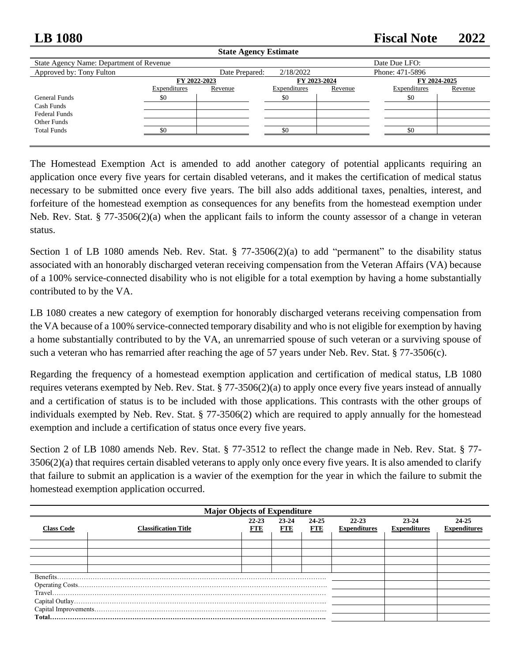## **LB 1080 Fiscal Note 2022**

| <b>State Agency Estimate</b>             |              |                                                |              |         |               |         |  |  |
|------------------------------------------|--------------|------------------------------------------------|--------------|---------|---------------|---------|--|--|
| State Agency Name: Department of Revenue |              |                                                |              |         | Date Due LFO: |         |  |  |
| Approved by: Tony Fulton                 |              | 2/18/2022<br>Phone: 471-5896<br>Date Prepared: |              |         |               |         |  |  |
|                                          | FY 2022-2023 |                                                | FY 2023-2024 |         | FY 2024-2025  |         |  |  |
|                                          | Expenditures | Revenue                                        | Expenditures | Revenue | Expenditures  | Revenue |  |  |
| General Funds                            | \$0          |                                                | \$0          |         | \$0           |         |  |  |
| Cash Funds                               |              |                                                |              |         |               |         |  |  |
| <b>Federal Funds</b>                     |              |                                                |              |         |               |         |  |  |
| Other Funds                              |              |                                                |              |         |               |         |  |  |
| <b>Total Funds</b>                       | \$0          |                                                | -\$0         |         | \$0           |         |  |  |
|                                          |              |                                                |              |         |               |         |  |  |

The Homestead Exemption Act is amended to add another category of potential applicants requiring an application once every five years for certain disabled veterans, and it makes the certification of medical status necessary to be submitted once every five years. The bill also adds additional taxes, penalties, interest, and forfeiture of the homestead exemption as consequences for any benefits from the homestead exemption under Neb. Rev. Stat. § 77-3506(2)(a) when the applicant fails to inform the county assessor of a change in veteran status.

Section 1 of LB 1080 amends Neb. Rev. Stat. § 77-3506(2)(a) to add "permanent" to the disability status associated with an honorably discharged veteran receiving compensation from the Veteran Affairs (VA) because of a 100% service-connected disability who is not eligible for a total exemption by having a home substantially contributed to by the VA.

LB 1080 creates a new category of exemption for honorably discharged veterans receiving compensation from the VA because of a 100% service-connected temporary disability and who is not eligible for exemption by having a home substantially contributed to by the VA, an unremarried spouse of such veteran or a surviving spouse of such a veteran who has remarried after reaching the age of 57 years under Neb. Rev. Stat. § 77-3506(c).

Regarding the frequency of a homestead exemption application and certification of medical status, LB 1080 requires veterans exempted by Neb. Rev. Stat. § 77-3506(2)(a) to apply once every five years instead of annually and a certification of status is to be included with those applications. This contrasts with the other groups of individuals exempted by Neb. Rev. Stat. § 77-3506(2) which are required to apply annually for the homestead exemption and include a certification of status once every five years.

Section 2 of LB 1080 amends Neb. Rev. Stat. § 77-3512 to reflect the change made in Neb. Rev. Stat. § 77- 3506(2)(a) that requires certain disabled veterans to apply only once every five years. It is also amended to clarify that failure to submit an application is a wavier of the exemption for the year in which the failure to submit the homestead exemption application occurred.

| <b>Major Objects of Expenditure</b> |                             |                         |              |                     |                                  |                                  |                              |
|-------------------------------------|-----------------------------|-------------------------|--------------|---------------------|----------------------------------|----------------------------------|------------------------------|
| <b>Class Code</b>                   | <b>Classification Title</b> | $22 - 23$<br><b>FTE</b> | 23-24<br>FTE | 24-25<br><b>FTE</b> | $22 - 23$<br><b>Expenditures</b> | $23 - 24$<br><b>Expenditures</b> | 24-25<br><b>Expenditures</b> |
|                                     |                             |                         |              |                     |                                  |                                  |                              |
|                                     |                             |                         |              |                     |                                  |                                  |                              |
|                                     |                             |                         |              |                     |                                  |                                  |                              |
|                                     |                             |                         |              |                     |                                  |                                  |                              |
| Benefits.                           |                             |                         |              |                     |                                  |                                  |                              |
|                                     |                             |                         |              |                     |                                  |                                  |                              |
|                                     |                             |                         |              |                     |                                  |                                  |                              |
|                                     |                             |                         |              |                     |                                  |                                  |                              |
|                                     |                             |                         |              |                     |                                  |                                  |                              |
|                                     |                             |                         |              |                     |                                  |                                  |                              |